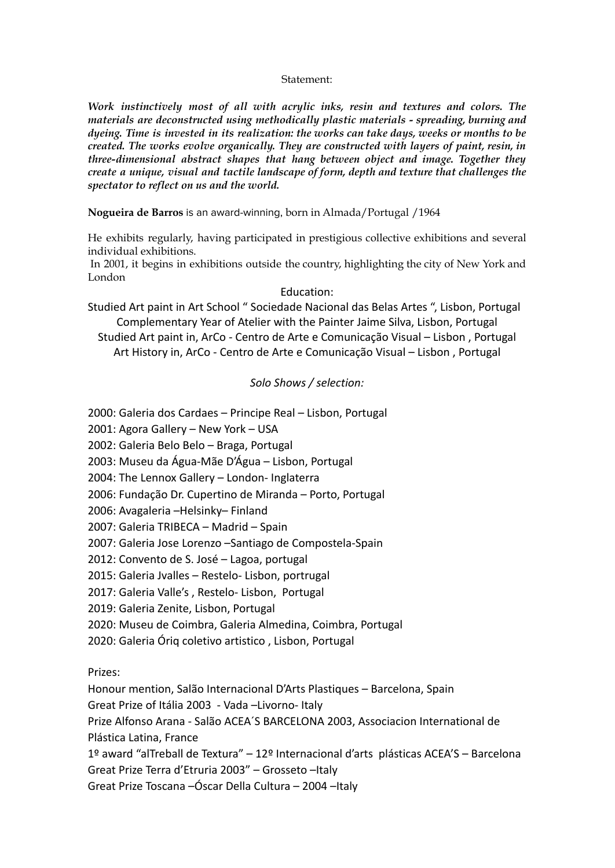## Statement:

*Work instinctively most of all with acrylic inks, resin and textures and colors. The materials are deconstructed using methodically plastic materials - spreading, burning and dyeing. Time is invested in its realization: the works can take days, weeks or months to be created. The works evolve organically. They are constructed with layers of paint, resin, in three-dimensional abstract shapes that hang between object and image. Together they create a unique, visual and tactile landscape of form, depth and texture that challenges the spectator to reflect on us and the world.*

**Nogueira de Barros** is an award-winning, born in Almada/Portugal /1964

He exhibits regularly, having participated in prestigious collective exhibitions and several individual exhibitions.

 In 2001, it begins in exhibitions outside the country, highlighting the city of New York and London

## Education:

Studied Art paint in Art School " Sociedade Nacional das Belas Artes ", Lisbon, Portugal Complementary Year of Atelier with the Painter Jaime Silva, Lisbon, Portugal Studied Art paint in, ArCo - Centro de Arte e Comunicação Visual – Lisbon , Portugal Art History in, ArCo - Centro de Arte e Comunicação Visual – Lisbon , Portugal

## *Solo Shows / selection:*

2000: Galeria dos Cardaes – Principe Real – Lisbon, Portugal

2001: Agora Gallery – New York – USA

2002: Galeria Belo Belo – Braga, Portugal

2003: Museu da Água-Mãe D'Água – Lisbon, Portugal

2004: The Lennox Gallery – London- Inglaterra

2006: Fundação Dr. Cupertino de Miranda – Porto, Portugal

2006: Avagaleria –Helsinky– Finland

2007: Galeria TRIBECA – Madrid – Spain

2007: Galeria Jose Lorenzo –Santiago de Compostela-Spain

2012: Convento de S. José – Lagoa, portugal

2015: Galeria Jvalles – Restelo- Lisbon, portrugal

2017: Galeria Valle's , Restelo- Lisbon, Portugal

2019: Galeria Zenite, Lisbon, Portugal

2020: Museu de Coimbra, Galeria Almedina, Coimbra, Portugal

2020: Galeria Óriq coletivo artistico , Lisbon, Portugal

Prizes:

Honour mention, Salão Internacional D'Arts Plastiques – Barcelona, Spain

Great Prize of Itália 2003 - Vada –Livorno- Italy

Prize Alfonso Arana - Salão ACEA´S BARCELONA 2003, Associacion International de Plástica Latina, France

1º award "alTreball de Textura" – 12º Internacional d'arts plásticas ACEA'S – Barcelona

Great Prize Terra d'Etruria 2003" – Grosseto –Italy

Great Prize Toscana –Óscar Della Cultura – 2004 –Italy